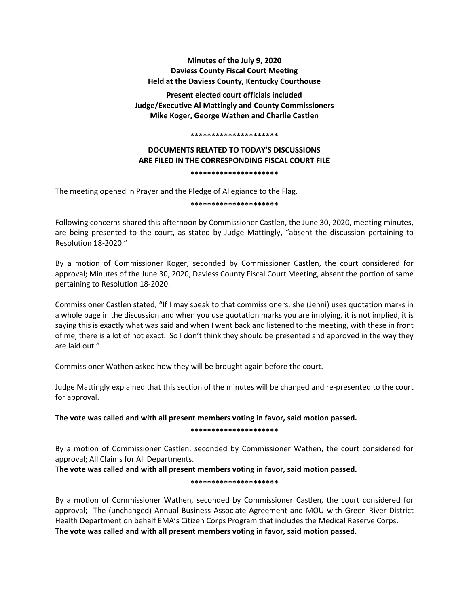## **Minutes of the July 9, 2020 Daviess County Fiscal Court Meeting Held at the Daviess County, Kentucky Courthouse**

**Present elected court officials included Judge/Executive Al Mattingly and County Commissioners Mike Koger, George Wathen and Charlie Castlen**

#### **\*\*\*\*\*\*\*\*\*\*\*\*\*\*\*\*\*\*\*\*\***

# **DOCUMENTS RELATED TO TODAY'S DISCUSSIONS ARE FILED IN THE CORRESPONDING FISCAL COURT FILE**

**\*\*\*\*\*\*\*\*\*\*\*\*\*\*\*\*\*\*\*\*\***

The meeting opened in Prayer and the Pledge of Allegiance to the Flag.

**\*\*\*\*\*\*\*\*\*\*\*\*\*\*\*\*\*\*\*\*\***

Following concerns shared this afternoon by Commissioner Castlen, the June 30, 2020, meeting minutes, are being presented to the court, as stated by Judge Mattingly, "absent the discussion pertaining to Resolution 18-2020."

By a motion of Commissioner Koger, seconded by Commissioner Castlen, the court considered for approval; Minutes of the June 30, 2020, Daviess County Fiscal Court Meeting, absent the portion of same pertaining to Resolution 18-2020.

Commissioner Castlen stated, "If I may speak to that commissioners, she (Jenni) uses quotation marks in a whole page in the discussion and when you use quotation marks you are implying, it is not implied, it is saying this is exactly what was said and when I went back and listened to the meeting, with these in front of me, there is a lot of not exact. So I don't think they should be presented and approved in the way they are laid out."

Commissioner Wathen asked how they will be brought again before the court.

Judge Mattingly explained that this section of the minutes will be changed and re-presented to the court for approval.

**The vote was called and with all present members voting in favor, said motion passed.** 

**\*\*\*\*\*\*\*\*\*\*\*\*\*\*\*\*\*\*\*\*\***

By a motion of Commissioner Castlen, seconded by Commissioner Wathen, the court considered for approval; All Claims for All Departments.

**The vote was called and with all present members voting in favor, said motion passed.** 

**\*\*\*\*\*\*\*\*\*\*\*\*\*\*\*\*\*\*\*\*\***

By a motion of Commissioner Wathen, seconded by Commissioner Castlen, the court considered for approval; The (unchanged) Annual Business Associate Agreement and MOU with Green River District Health Department on behalf EMA's Citizen Corps Program that includes the Medical Reserve Corps. **The vote was called and with all present members voting in favor, said motion passed.**